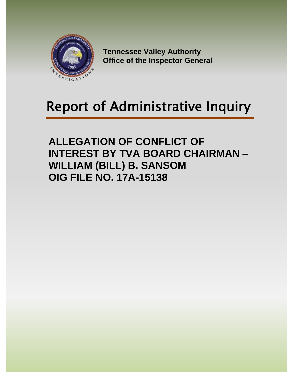

**Tennessee Valley Authority Office of the Inspector General**

# Report of Administrative Inquiry

**ALLEGATION OF CONFLICT OF INTEREST BY TVA BOARD CHAIRMAN – WILLIAM (BILL) B. SANSOM OIG FILE NO. 17A-15138**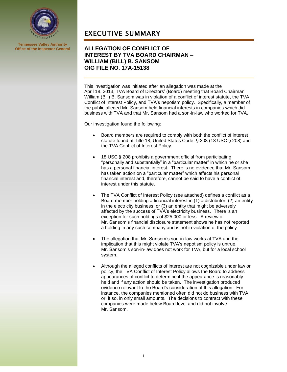

**Tennessee Valley Authority Office of the Inspector General**

### EXECUTIVE SUMMARY

### **ALLEGATION OF CONFLICT OF INTEREST BY TVA BOARD CHAIRMAN – WILLIAM (BILL) B. SANSOM OIG FILE NO. 17A-15138**

This investigation was initiated after an allegation was made at the April 18, 2013, TVA Board of Directors' (Board) meeting that Board Chairman William (Bill) B. Sansom was in violation of a conflict of interest statute, the TVA Conflict of Interest Policy, and TVA's nepotism policy. Specifically, a member of the public alleged Mr. Sansom held financial interests in companies which did business with TVA and that Mr. Sansom had a son-in-law who worked for TVA.

Our investigation found the following:

- Board members are required to comply with both the conflict of interest statute found at Title 18, United States Code, § 208 (18 USC § 208) and the TVA Conflict of Interest Policy.
- 18 USC § 208 prohibits a government official from participating "personally and substantially" in a "particular matter" in which he or she has a personal financial interest. There is no evidence that Mr. Sansom has taken action on a "particular matter" which affects his personal financial interest and, therefore, cannot be said to have a conflict of interest under this statute.
- The TVA Conflict of Interest Policy (see attached) defines a conflict as a Board member holding a financial interest in (1) a distributor, (2) an entity in the electricity business, or (3) an entity that might be adversely affected by the success of TVA's electricity business. There is an exception for such holdings of \$25,000 or less. A review of Mr. Sansom's financial disclosure statement shows he has not reported a holding in any such company and is not in violation of the policy.
- The allegation that Mr. Sansom's son-in-law works at TVA and the implication that this might violate TVA's nepotism policy is untrue. Mr. Sansom's son-in-law does not work for TVA, but for a local school system.
- Although the alleged conflicts of interest are not cognizable under law or policy, the TVA Conflict of Interest Policy allows the Board to address appearances of conflict to determine if the appearance is reasonably held and if any action should be taken. The investigation produced evidence relevant to the Board's consideration of this allegation. For instance, the companies mentioned often did not do business with TVA or, if so, in only small amounts. The decisions to contract with these companies were made below Board level and did not involve Mr. Sansom.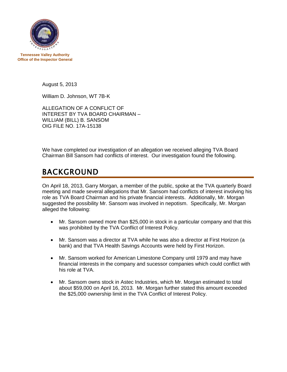

**Tennessee Valley Authority Office of the Inspector General**

August 5, 2013

William D. Johnson, WT 7B-K

ALLEGATION OF A CONFLICT OF INTEREST BY TVA BOARD CHAIRMAN – WILLIAM (BILL) B. SANSOM OIG FILE NO. 17A-15138

We have completed our investigation of an allegation we received alleging TVA Board Chairman Bill Sansom had conflicts of interest. Our investigation found the following.

### BACKGROUND

On April 18, 2013, Garry Morgan, a member of the public, spoke at the TVA quarterly Board meeting and made several allegations that Mr. Sansom had conflicts of interest involving his role as TVA Board Chairman and his private financial interests. Additionally, Mr. Morgan suggested the possibility Mr. Sansom was involved in nepotism. Specifically, Mr. Morgan alleged the following:

- Mr. Sansom owned more than \$25,000 in stock in a particular company and that this was prohibited by the TVA Conflict of Interest Policy.
- Mr. Sansom was a director at TVA while he was also a director at First Horizon (a bank) and that TVA Health Savings Accounts were held by First Horizon.
- Mr. Sansom worked for American Limestone Company until 1979 and may have financial interests in the company and sucessor companies which could conflict with his role at TVA.
- Mr. Sansom owns stock in Astec Industries, which Mr. Morgan estimated to total about \$59,000 on April 16, 2013. Mr. Morgan further stated this amount exceeded the \$25,000 ownership limit in the TVA Conflict of Interest Policy.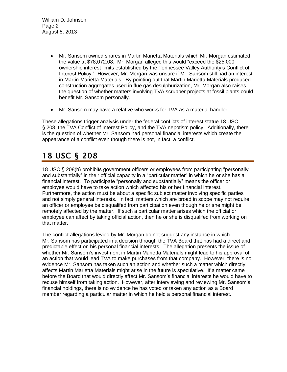William D. Johnson Page 2 August 5, 2013

- Mr. Sansom owned shares in Martin Marietta Materials which Mr. Morgan estimated the value at \$78,072.08. Mr. Morgan alleged this would "exceed the \$25,000 ownership interest limits established by the Tennessee Valley Authority's Conflict of Interest Policy." However, Mr. Morgan was unsure if Mr. Sansom still had an interest in Martin Marietta Materials. By pointing out that Martin Marietta Materials produced construction aggregates used in flue gas desulphurization, Mr. Morgan also raises the question of whether matters involving TVA scrubber projects at fossil plants could benefit Mr. Sansom personally.
- Mr. Sansom may have a relative who works for TVA as a material handler.

These allegations trigger analysis under the federal conflicts of interest statue 18 USC § 208, the TVA Conflict of Interest Policy, and the TVA nepotism policy. Additionally, there is the question of whether Mr. Sansom had personal financial interests which create the appearance of a conflict even though there is not, in fact, a conflict.

# 18 USC § 208

18 USC § 208(b) prohibits government officers or employees from participating "personally and substantially" in their official capacity in a "particular matter" in which he or she has a financial interest. To participate "personally and substantially" means the officer or employee would have to take action which affected his or her financial interest. Furthermore, the action must be about a specific subject matter involving specific parties and not simply general interests. In fact, matters which are broad in scope may not require an officer or employee be disqualifed from participation even though he or she might be remotely affected by the matter. If such a particular matter arises which the official or employee can affect by taking official action, then he or she is disqualifed from working on that matter.

The conflict allegations levied by Mr. Morgan do not suggest any instance in which Mr. Sansom has participated in a decision through the TVA Board that has had a direct and predictable effect on his personal financial interests. The allegation presents the issue of whether Mr. Sansom's investment in Martin Marietta Materials might lead to his approval of an action that would lead TVA to make purchases from that company. However, there is no evidence Mr. Sansom has taken such an action and whether such a matter which directly affects Martin Marietta Materials might arise in the future is speculative. If a matter came before the Board that would directly affect Mr. Sansom's financial interests he would have to recuse himself from taking action. However, after interviewing and reviewing Mr. Sansom's financial holdings, there is no evidence he has voted or taken any action as a Board member regarding a particular matter in which he held a personal financial interest.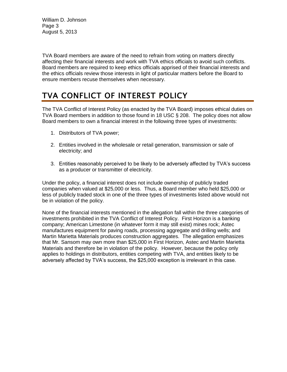William D. Johnson Page 3 August 5, 2013

TVA Board members are aware of the need to refrain from voting on matters directly affecting their financial interests and work with TVA ethics officials to avoid such conflicts. Board members are required to keep ethics officials apprised of their financial interests and the ethics officials review those interests in light of particular matters before the Board to ensure members recuse themselves when necessary.

# TVA CONFLICT OF INTEREST POLICY

The TVA Conflict of Interest Policy (as enacted by the TVA Board) imposes ethical duties on TVA Board members in addition to those found in 18 USC § 208. The policy does not allow Board members to own a financial interest in the following three types of investments:

- 1. Distributors of TVA power;
- 2. Entities involved in the wholesale or retail generation, transmission or sale of electricity; and
- 3. Entities reasonably perceived to be likely to be adversely affected by TVA's success as a producer or transmitter of electricity.

Under the policy, a financial interest does not include ownership of publicly traded companies when valued at \$25,000 or less. Thus, a Board member who held \$25,000 or less of publicly traded stock in one of the three types of investments listed above would not be in violation of the policy.

None of the financial interests mentioned in the allegation fall within the three categories of investments prohibited in the TVA Conflict of Interest Policy. First Horizon is a banking company; American Limestone (in whatever form it may still exist) mines rock; Astec manufactures equipment for paving roads, processing aggregate and drilling wells; and Martin Marietta Materials produces construction aggregates. The allegation emphasizes that Mr. Sansom may own more than \$25,000 in First Horizon, Astec and Martin Marietta Materials and therefore be in violation of the policy. However, because the policy only applies to holdings in distributors, entities competing with TVA, and entities likely to be adversely affected by TVA's success, the \$25,000 exception is irrelevant in this case.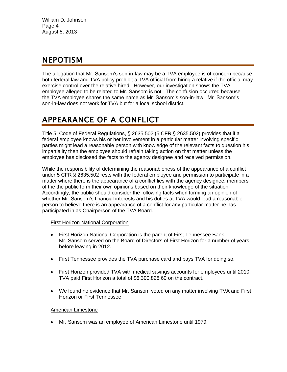William D. Johnson Page 4 August 5, 2013

### NEPOTISM

The allegation that Mr. Sansom's son-in-law may be a TVA employee is of concern because both federal law and TVA policy prohibit a TVA official from hiring a relative if the official may exercise control over the relative hired. However, our investigation shows the TVA employee alleged to be related to Mr. Sansom is not. The confusion occurred because the TVA employee shares the same name as Mr. Sansom's son-in-law. Mr. Sansom's son-in-law does not work for TVA but for a local school district.

## APPEARANCE OF A CONFLICT

Title 5, Code of Federal Regulations, § 2635.502 (5 CFR § 2635.502) provides that if a federal employee knows his or her involvement in a particular matter involving specific parties might lead a reasonable person with knowledge of the relevant facts to question his impartiality then the employee should refrain taking action on that matter unless the employee has disclosed the facts to the agency designee and received permission.

While the responsibility of determining the reasonableness of the appearance of a conflict under 5 CFR § 2635.502 rests with the federal employee and permission to participate in a matter where there is the appearance of a conflict lies with the agency designee, members of the the public form their own opinions based on their knowledge of the situation. Accordingly, the public should consider the following facts when forming an opinion of whether Mr. Sansom's financial interests and his duties at TVA would lead a reasonable person to believe there is an appearance of a conflict for any particular matter he has participated in as Chairperson of the TVA Board.

### First Horizon National Corporation

- First Horizon National Corporation is the parent of First Tennessee Bank. Mr. Sansom served on the Board of Directors of First Horizon for a number of years before leaving in 2012.
- First Tennessee provides the TVA purchase card and pays TVA for doing so.
- First Horizon provided TVA with medical savings accounts for employees until 2010. TVA paid First Horizon a total of \$6,300,828.60 on the contract.
- We found no evidence that Mr. Sansom voted on any matter involving TVA and First Horizon or First Tennessee.

### American Limestone

Mr. Sansom was an employee of American Limestone until 1979.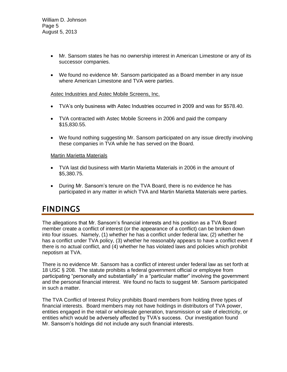- Mr. Sansom states he has no ownership interest in American Limestone or any of its successor companies.
- We found no evidence Mr. Sansom participated as a Board member in any issue where American Limestone and TVA were parties.

#### Astec Industries and Astec Mobile Screens, Inc.

- TVA's only business with Astec Industries occurred in 2009 and was for \$578.40.
- TVA contracted with Astec Mobile Screens in 2006 and paid the company \$15,830.55.
- We found nothing suggesting Mr. Sansom participated on any issue directly involving these companies in TVA while he has served on the Board.

#### Martin Marietta Materials

- TVA last did business with Martin Marietta Materials in 2006 in the amount of \$5,380.75.
- During Mr. Sansom's tenure on the TVA Board, there is no evidence he has participated in any matter in which TVA and Martin Marietta Materials were parties.

### **FINDINGS**

The allegations that Mr. Sansom's financial interests and his position as a TVA Board member create a conflict of interest (or the appearance of a conflict) can be broken down into four issues. Namely, (1) whether he has a conflict under federal law, (2) whether he has a conflict under TVA policy, (3) whether he reasonably appears to have a conflict even if there is no actual conflict, and (4) whether he has violated laws and policies which prohibit nepotism at TVA.

There is no evidence Mr. Sansom has a conflict of interest under federal law as set forth at 18 USC § 208. The statute prohibits a federal government official or employee from participating "personally and substantially" in a "particular matter" involving the government and the personal financial interest. We found no facts to suggest Mr. Sansom participated in such a matter.

The TVA Conflict of Interest Policy prohibits Board members from holding three types of financial interests. Board members may not have holdings in distributors of TVA power, entities engaged in the retail or wholesale generation, transmission or sale of electricity, or entities which would be adversely affected by TVA's success. Our investigation found Mr. Sansom's holdings did not include any such financial interests.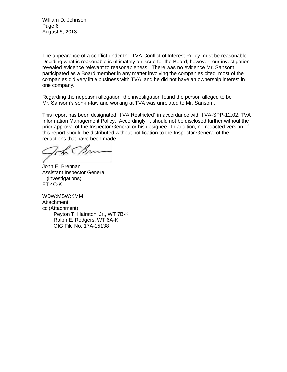William D. Johnson Page 6 August 5, 2013

The appearance of a conflict under the TVA Conflict of Interest Policy must be reasonable. Deciding what is reasonable is ultimately an issue for the Board; however, our investigation revealed evidence relevant to reasonableness. There was no evidence Mr. Sansom participated as a Board member in any matter involving the companies cited, most of the companies did very little business with TVA, and he did not have an ownership interest in one company.

Regarding the nepotism allegation, the investigation found the person alleged to be Mr. Sansom's son-in-law and working at TVA was unrelated to Mr. Sansom.

This report has been designated "TVA Restricted" in accordance with TVA-SPP-12.02, TVA Information Management Policy. Accordingly, it should not be disclosed further without the prior approval of the Inspector General or his designee. In addition, no redacted version of this report should be distributed without notification to the Inspector General of the redactions that have been made.

The CBn

John E. Brennan Assistant Inspector General (Investigations) ET 4C-K

WDW:MSW:KMM Attachment cc (Attachment): Peyton T. Hairston, Jr., WT 7B-K Ralph E. Rodgers, WT 6A-K OIG File No. 17A-15138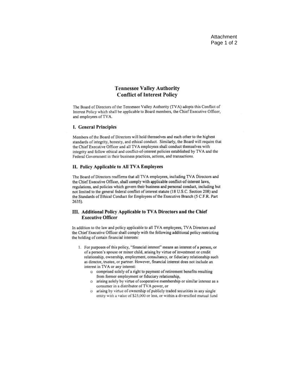#### **Tennessee Valley Authority Conflict of Interest Policy**

The Board of Directors of the Tennessee Valley Authority (TVA) adopts this Conflict of Interest Policy which shall be applicable to Board members, the Chief Executive Officer, and employees of TVA.

#### I. General Principles

Members of the Board of Directors will hold themselves and each other to the highest standards of integrity, honesty, and ethical conduct. Similarly, the Board will require that the Chief Executive Officer and all TVA employees shall conduct themselves with integrity and follow ethical and conflict-of-interest policies established by TVA and the Federal Government in their business practices, actions, and transactions.

#### II. Policy Applicable to All TVA Employees

The Board of Directors reaffirms that all TVA employees, including TVA Directors and the Chief Executive Officer, shall comply with applicable conflict-of-interest laws, regulations, and policies which govern their business and personal conduct, including but not limited to the general federal conflict of interest statute (18 U.S.C. Section 208) and the Standards of Ethical Conduct for Employees of the Executive Branch (5 C.F.R. Part  $2635$ ).

#### III. Additional Policy Applicable to TVA Directors and the Chief **Executive Officer**

In addition to the law and policy applicable to all TVA employees, TVA Directors and the Chief Executive Officer shall comply with the following additional policy restricting the holding of certain financial interests:

- 1. For purposes of this policy, "financial interest" means an interest of a person, or of a person's spouse or minor child, arising by virtue of investment or credit relationship, ownership, employment, consultancy, or fiduciary relationship such as director, trustee, or partner. However, financial interest does not include an interest in TVA or any interest:
	- o comprised solely of a right to payment of retirement benefits resulting from former employment or fiduciary relationship,
	- o arising solely by virtue of cooperative membership or similar interest as a consumer in a distributor of TVA power, or
	- o arising by virtue of ownership of publicly traded securities in any single entity with a value of \$25,000 or less, or within a diversified mutual fund